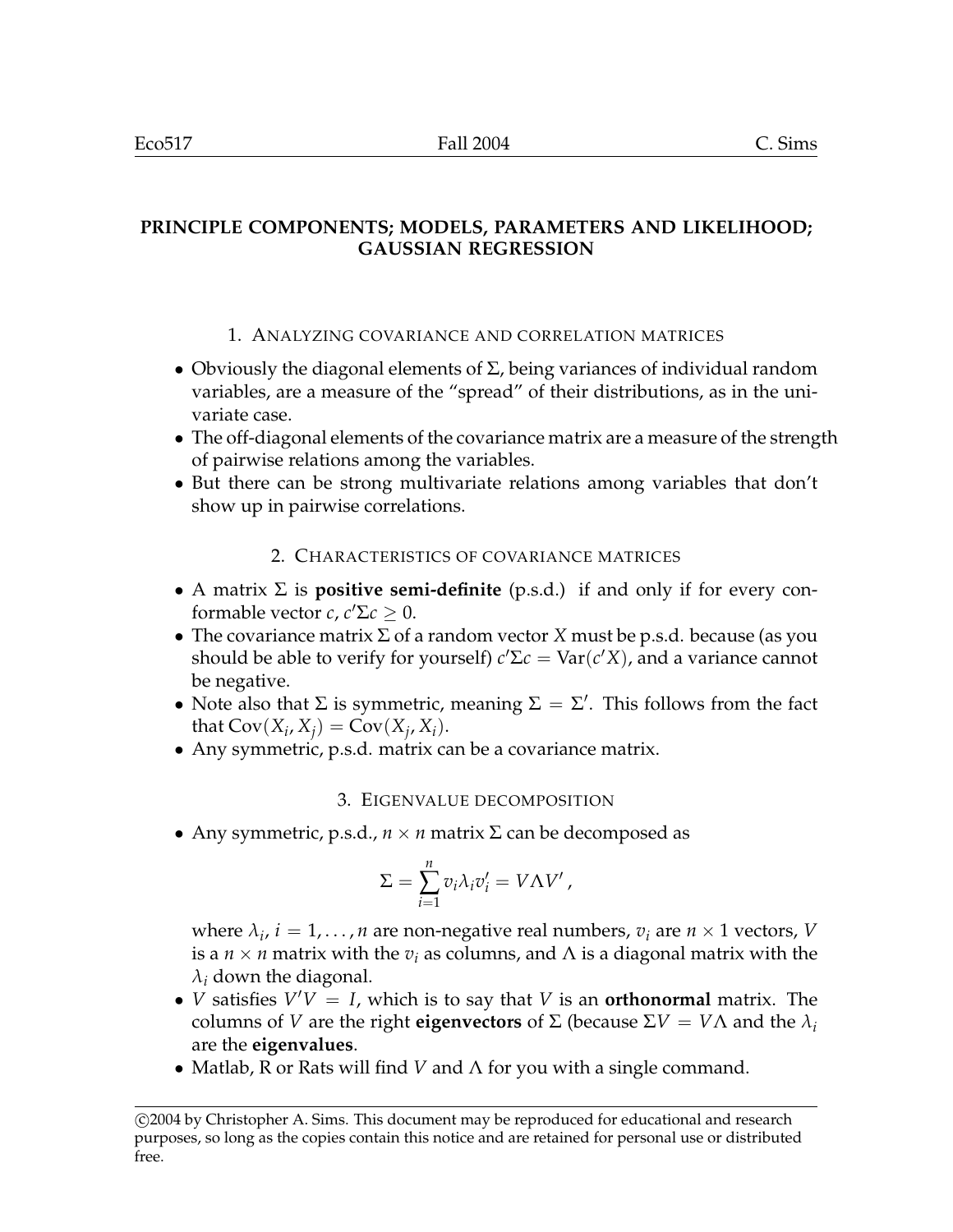# **PRINCIPLE COMPONENTS; MODELS, PARAMETERS AND LIKELIHOOD; GAUSSIAN REGRESSION**

## 1. ANALYZING COVARIANCE AND CORRELATION MATRICES

- Obviously the diagonal elements of  $\Sigma$ , being variances of individual random variables, are a measure of the "spread" of their distributions, as in the univariate case.
- The off-diagonal elements of the covariance matrix are a measure of the strength of pairwise relations among the variables.
- But there can be strong multivariate relations among variables that don't show up in pairwise correlations.

#### 2. CHARACTERISTICS OF COVARIANCE MATRICES

- A matrix Σ is **positive semi-definite** (p.s.d.) if and only if for every conformable vector *c*,  $c' \Sigma c \geq 0$ .
- The covariance matrix Σ of a random vector *X* must be p.s.d. because (as you should be able to verify for yourself)  $c'\Sigma c = \text{Var}(c'X)$ , and a variance cannot be negative.
- Note also that  $\Sigma$  is symmetric, meaning  $\Sigma = \Sigma'$ . This follows from the fact that  $Cov(X_i, X_j) = Cov(X_j, X_i)$ .
- Any symmetric, p.s.d. matrix can be a covariance matrix.

## 3. EIGENVALUE DECOMPOSITION

• Any symmetric, p.s.d.,  $n \times n$  matrix  $\Sigma$  can be decomposed as

$$
\Sigma = \sum_{i=1}^{n} v_i \lambda_i v'_i = V \Lambda V',
$$

where  $\lambda_i$ ,  $i = 1, \ldots, n$  are non-negative real numbers,  $v_i$  are  $n \times 1$  vectors, *V* is a  $n \times n$  matrix with the  $v_i$  as columns, and  $\Lambda$  is a diagonal matrix with the  $\lambda_i$  down the diagonal.

- *V* satisfies  $V'V = I$ , which is to say that *V* is an **orthonormal** matrix. The columns of *V* are the right **eigenvectors** of Σ (because  $\Sigma V = V \Lambda$  and the  $\lambda_i$ are the **eigenvalues**.
- Matlab, R or Rats will find *V* and Λ for you with a single command.

<sup>°</sup>c 2004 by Christopher A. Sims. This document may be reproduced for educational and research purposes, so long as the copies contain this notice and are retained for personal use or distributed free.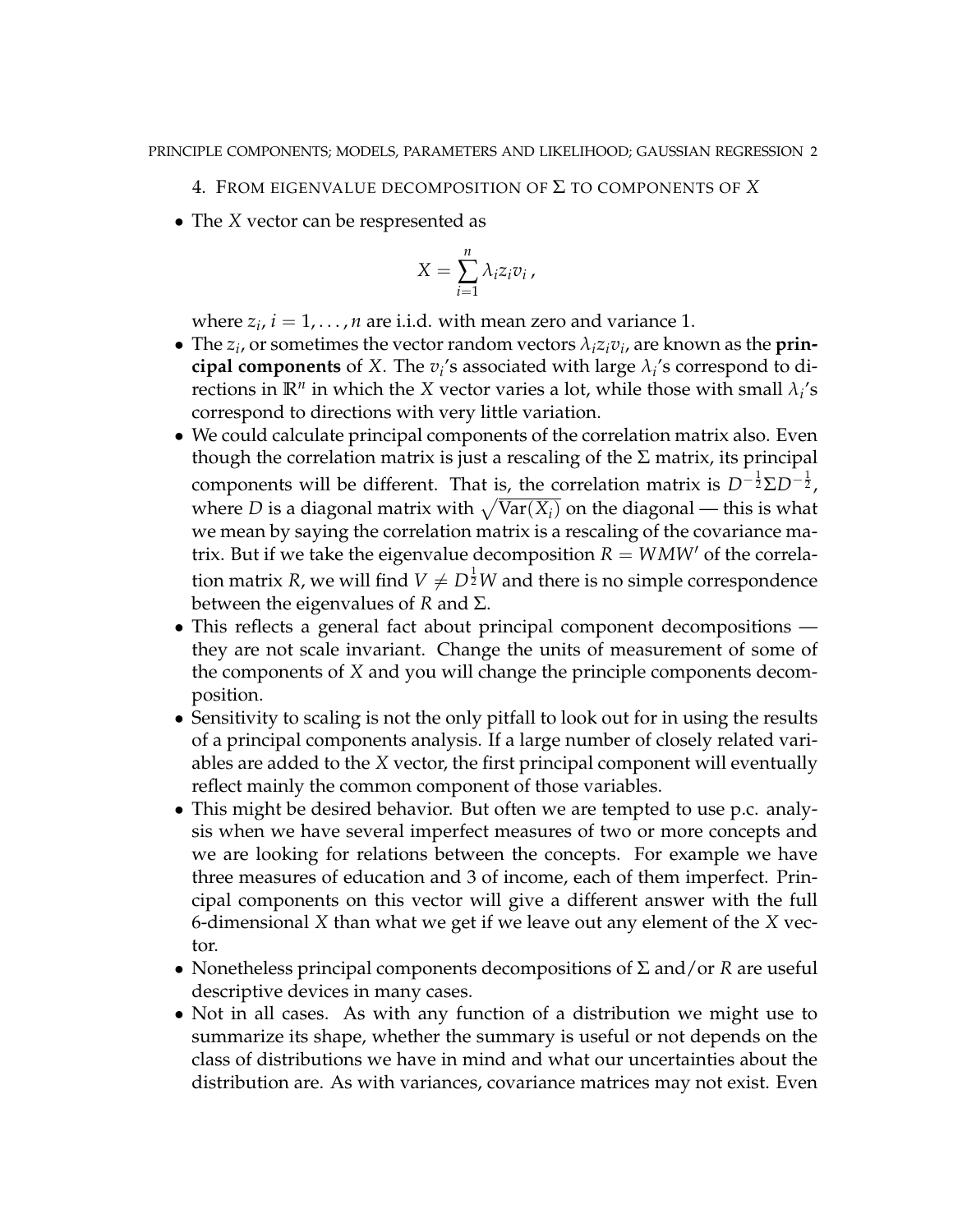- 4. FROM EIGENVALUE DECOMPOSITION OF Σ TO COMPONENTS OF *X*
- The *X* vector can be respresented as

$$
X = \sum_{i=1}^{n} \lambda_i z_i v_i ,
$$

where  $z_i$ ,  $i = 1, \ldots, n$  are i.i.d. with mean zero and variance 1.

- The  $z_i$ , or sometimes the vector random vectors  $\lambda_i z_i v_i$ , are known as the **prin**cipal components of *X*. The  $v_i$ 's associated with large  $\lambda_i$ 's correspond to directions in  $\mathbb{R}^n$  in which the *X* vector varies a lot, while those with small  $\lambda_i$ 's correspond to directions with very little variation.
- We could calculate principal components of the correlation matrix also. Even though the correlation matrix is just a rescaling of the  $\Sigma$  matrix, its principal components will be different. That is, the correlation matrix is  $D^{-\frac{1}{2}}\Sigma D^{-\frac{1}{2}}$ , components will be different. That is, the correlation matrix is  $D^{-2}2D^{-2}$ , where D is a diagonal matrix with  $\sqrt{Var(X_i)}$  on the diagonal — this is what we mean by saying the correlation matrix is a rescaling of the covariance matrix. But if we take the eigenvalue decomposition  $R = W M W'$  of the correlation matrix *R*, we will find  $V\neq D^{\frac{1}{2}}W$  and there is no simple correspondence between the eigenvalues of *R* and Σ.
- This reflects a general fact about principal component decompositions they are not scale invariant. Change the units of measurement of some of the components of *X* and you will change the principle components decomposition.
- Sensitivity to scaling is not the only pitfall to look out for in using the results of a principal components analysis. If a large number of closely related variables are added to the *X* vector, the first principal component will eventually reflect mainly the common component of those variables.
- This might be desired behavior. But often we are tempted to use p.c. analysis when we have several imperfect measures of two or more concepts and we are looking for relations between the concepts. For example we have three measures of education and 3 of income, each of them imperfect. Principal components on this vector will give a different answer with the full 6-dimensional *X* than what we get if we leave out any element of the *X* vector.
- Nonetheless principal components decompositions of Σ and/or *R* are useful descriptive devices in many cases.
- Not in all cases. As with any function of a distribution we might use to summarize its shape, whether the summary is useful or not depends on the class of distributions we have in mind and what our uncertainties about the distribution are. As with variances, covariance matrices may not exist. Even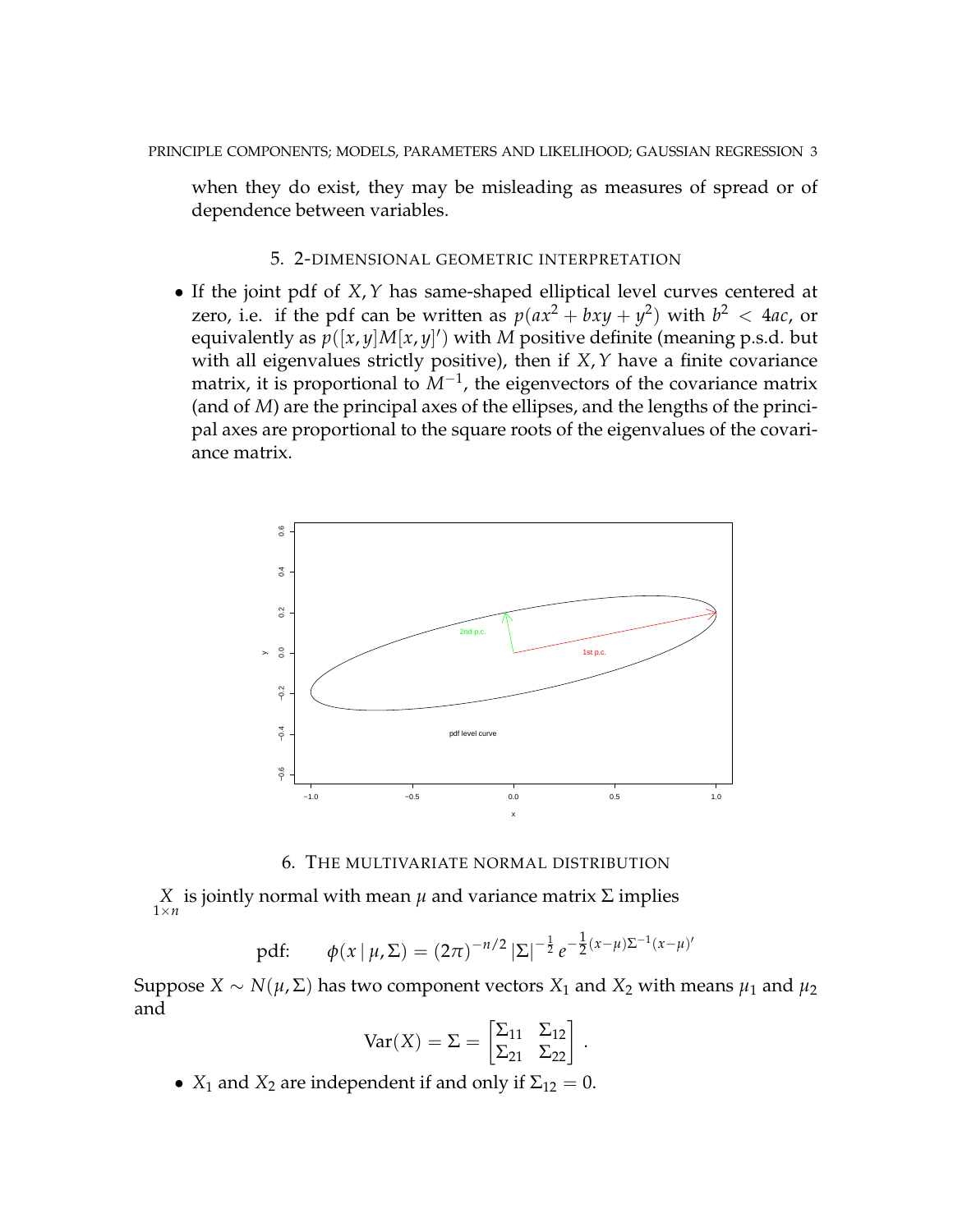when they do exist, they may be misleading as measures of spread or of dependence between variables.

#### 5. 2-DIMENSIONAL GEOMETRIC INTERPRETATION

• If the joint pdf of *X*,*Y* has same-shaped elliptical level curves centered at zero, i.e. if the pdf can be written as  $p(ax^2 + bxy + y^2)$  with  $b^2 < 4ac$ , or equivalently as  $p([x, y]M[x, y])$  with *M* positive definite (meaning p.s.d. but with all eigenvalues strictly positive), then if *X*,*Y* have a finite covariance matrix, it is proportional to  $M^{-1}$ , the eigenvectors of the covariance matrix (and of *M*) are the principal axes of the ellipses, and the lengths of the principal axes are proportional to the square roots of the eigenvalues of the covariance matrix.



6. THE MULTIVARIATE NORMAL DISTRIBUTION

 $X \atop 1 \times n$  is jointly normal with mean *μ* and variance matrix Σ implies

pdf: 
$$
\phi(x \mid \mu, \Sigma) = (2\pi)^{-n/2} |\Sigma|^{-\frac{1}{2}} e^{-\frac{1}{2}(x-\mu)\Sigma^{-1}(x-\mu)'}
$$

Suppose *X* ∼ *N*( $\mu$ ,  $\Sigma$ ) has two component vectors  $X_1$  and  $X_2$  with means  $\mu_1$  and  $\mu_2$ and ·

$$
Var(X) = \Sigma = \begin{bmatrix} \Sigma_{11} & \Sigma_{12} \\ \Sigma_{21} & \Sigma_{22} \end{bmatrix}.
$$

•  $X_1$  and  $X_2$  are independent if and only if  $\Sigma_{12} = 0$ .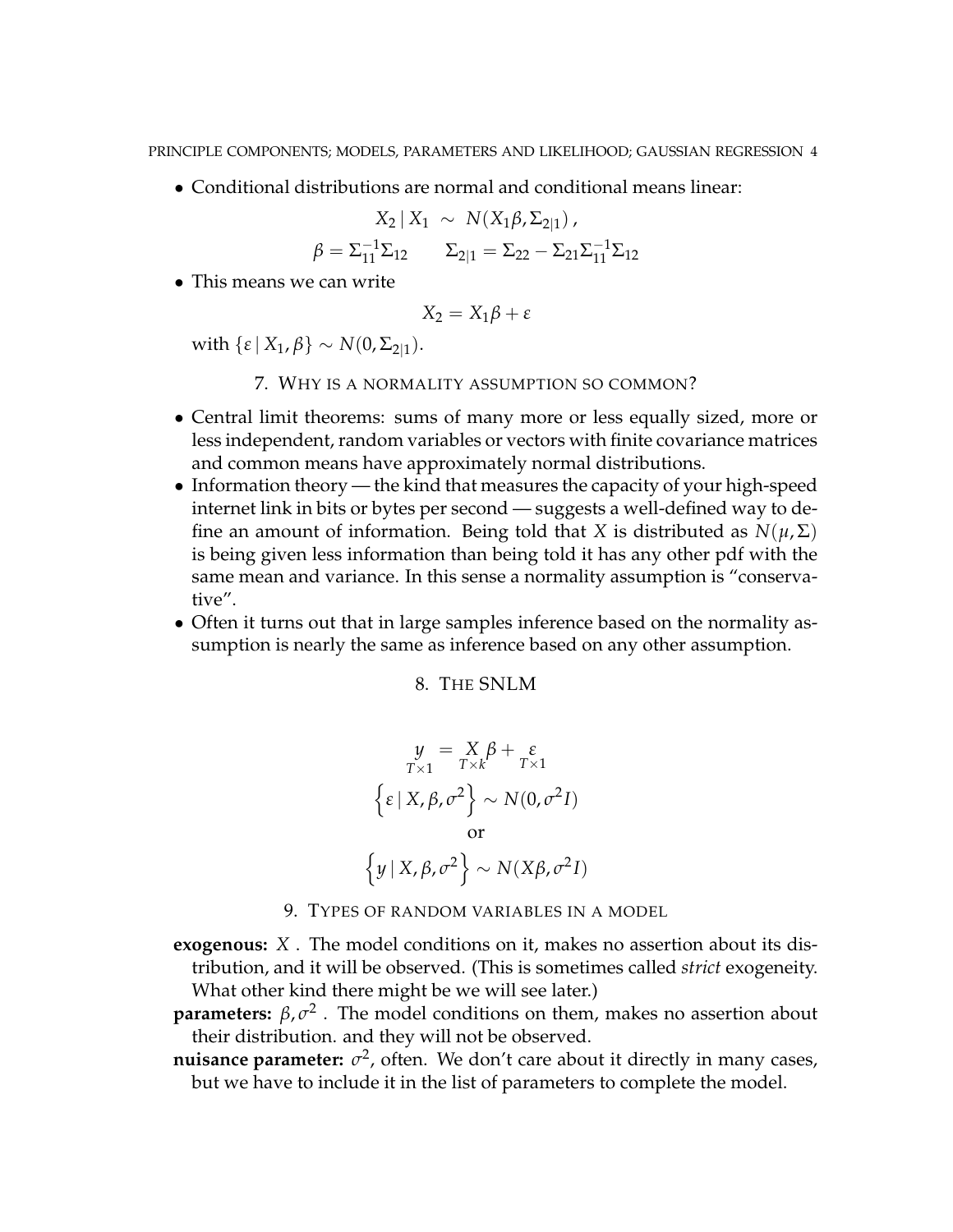• Conditional distributions are normal and conditional means linear:

$$
X_2 \,|\, X_1 \sim N(X_1 \beta, \Sigma_{2|1}),
$$
  

$$
\beta = \Sigma_{11}^{-1} \Sigma_{12} \qquad \Sigma_{2|1} = \Sigma_{22} - \Sigma_{21} \Sigma_{11}^{-1} \Sigma_{12}
$$

• This means we can write

$$
X_2 = X_1 \beta + \varepsilon
$$

with  $\{\varepsilon \mid X_1, \beta\} \sim N(0, \Sigma_{2|1}).$ 

- 7. WHY IS A NORMALITY ASSUMPTION SO COMMON?
- Central limit theorems: sums of many more or less equally sized, more or less independent, random variables or vectors with finite covariance matrices and common means have approximately normal distributions.
- Information theory the kind that measures the capacity of your high-speed internet link in bits or bytes per second — suggests a well-defined way to define an amount of information. Being told that *X* is distributed as  $N(\mu, \Sigma)$ is being given less information than being told it has any other pdf with the same mean and variance. In this sense a normality assumption is "conservative".
- Often it turns out that in large samples inference based on the normality assumption is nearly the same as inference based on any other assumption.

8. THE SNLM

$$
y = X_{T \times k} \beta + \varepsilon
$$
  

$$
\{\varepsilon | X, \beta, \sigma^2\} \sim N(0, \sigma^2 I)
$$
  
or  

$$
\{y | X, \beta, \sigma^2\} \sim N(X\beta, \sigma^2 I)
$$

- 9. TYPES OF RANDOM VARIABLES IN A MODEL
- **exogenous:** *X* . The model conditions on it, makes no assertion about its distribution, and it will be observed. (This is sometimes called *strict* exogeneity. What other kind there might be we will see later.)
- **parameters:**  $\beta$ ,  $\sigma^2$ . The model conditions on them, makes no assertion about their distribution. and they will not be observed.
- **nuisance parameter:**  $\sigma^2$ , often. We don't care about it directly in many cases, but we have to include it in the list of parameters to complete the model.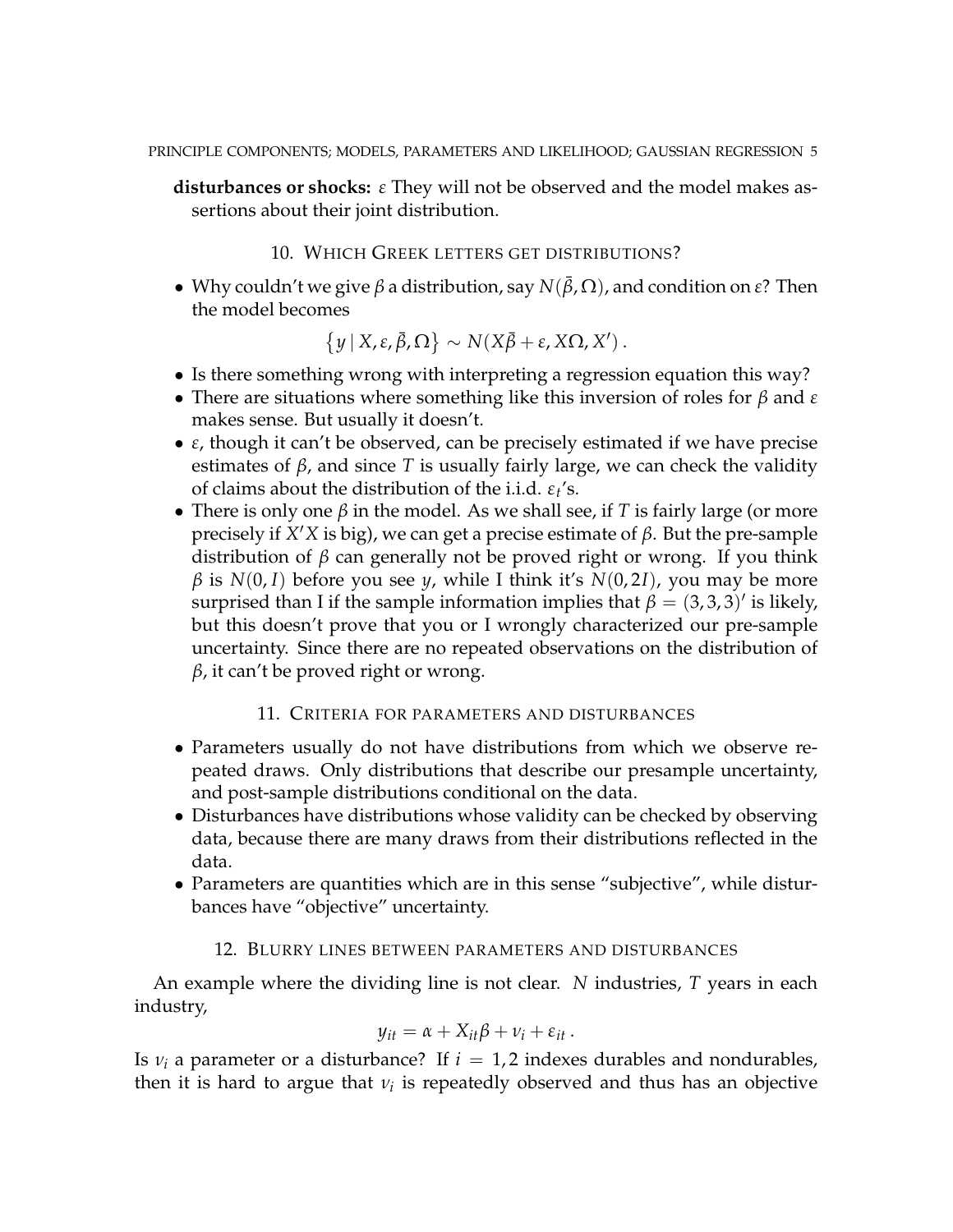**disturbances or shocks:** *ε* They will not be observed and the model makes assertions about their joint distribution.

#### 10. WHICH GREEK LETTERS GET DISTRIBUTIONS?

• Why couldn't we give  $\beta$  a distribution, say  $N(\bar{\beta}, \Omega)$ , and condition on  $\epsilon$ ? Then the model becomes

$$
\{y | X, \varepsilon, \bar{\beta}, \Omega\} \sim N(X\bar{\beta} + \varepsilon, X\Omega, X').
$$

- Is there something wrong with interpreting a regression equation this way?
- There are situations where something like this inversion of roles for *β* and *ε* makes sense. But usually it doesn't.
- *ε*, though it can't be observed, can be precisely estimated if we have precise estimates of  $\beta$ , and since *T* is usually fairly large, we can check the validity of claims about the distribution of the i.i.d. *ε<sup>t</sup>* 's.
- There is only one  $\beta$  in the model. As we shall see, if *T* is fairly large (or more precisely if  $X'X$  is big), we can get a precise estimate of  $β$ . But the pre-sample distribution of *β* can generally not be proved right or wrong. If you think  $β$  is  $N(0, I)$  before you see *y*, while I think it's  $N(0, 2I)$ , you may be more surprised than I if the sample information implies that  $\beta = (3,3,3)'$  is likely, but this doesn't prove that you or I wrongly characterized our pre-sample uncertainty. Since there are no repeated observations on the distribution of *β*, it can't be proved right or wrong.

#### 11. CRITERIA FOR PARAMETERS AND DISTURBANCES

- Parameters usually do not have distributions from which we observe repeated draws. Only distributions that describe our presample uncertainty, and post-sample distributions conditional on the data.
- Disturbances have distributions whose validity can be checked by observing data, because there are many draws from their distributions reflected in the data.
- Parameters are quantities which are in this sense "subjective", while disturbances have "objective" uncertainty.

## 12. BLURRY LINES BETWEEN PARAMETERS AND DISTURBANCES

An example where the dividing line is not clear. *N* industries, *T* years in each industry,

$$
y_{it} = \alpha + X_{it}\beta + v_i + \varepsilon_{it}.
$$

Is  $v_i$  a parameter or a disturbance? If  $i = 1, 2$  indexes durables and nondurables, then it is hard to argue that *ν*<sub>*i*</sub> is repeatedly observed and thus has an objective